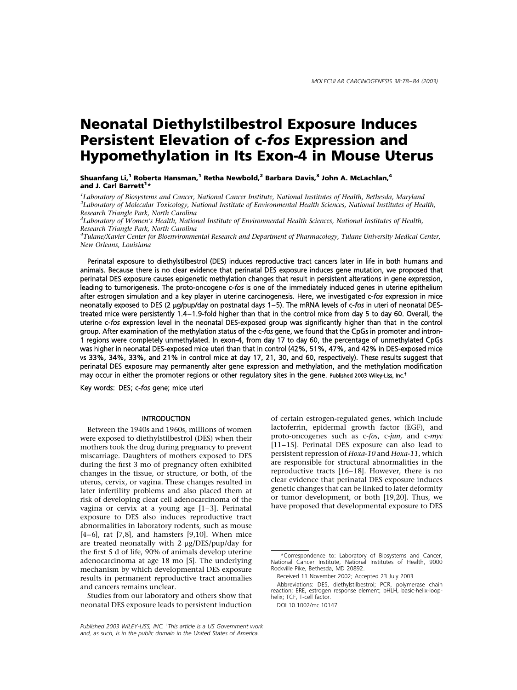# Neonatal Diethylstilbestrol Exposure Induces Persistent Elevation of c-fos Expression and Hypomethylation in Its Exon-4 in Mouse Uterus

Shuanfang Li,<sup>1</sup> Roberta Hansman,<sup>1</sup> Retha Newbold,<sup>2</sup> Barbara Davis,<sup>3</sup> John A. McLachlan,<sup>4</sup> and J. Carl Barrett<sup>1</sup>\*

<sup>1</sup>Laboratory of Biosystems and Cancer, National Cancer Institute, National Institutes of Health, Bethesda, Maryland<br><sup>2</sup>Laboratory of Molecular Toxicology, National Institute of Environmental Health Sciences, National Inst <sup>2</sup>Laboratory of Molecular Toxicology, National Institute of Environmental Health Sciences, National Institutes of Health, Research Triangle Park, North Carolina <sup>3</sup>

 ${}^{3}$ Laboratory of Women's Health, National Institute of Environmental Health Sciences, National Institutes of Health, Research Triangle Park, North Carolina <sup>4</sup>

<sup>4</sup>Tulane/Xavier Center for Bioenvironmental Research and Department of Pharmacology, Tulane University Medical Center, New Orleans, Louisiana

Perinatal exposure to diethylstilbestrol (DES) induces reproductive tract cancers later in life in both humans and animals. Because there is no clear evidence that perinatal DES exposure induces gene mutation, we proposed that perinatal DES exposure causes epigenetic methylation changes that result in persistent alterations in gene expression, leading to tumorigenesis. The proto-oncogene c-fos is one of the immediately induced genes in uterine epithelium after estrogen simulation and a key player in uterine carcinogenesis. Here, we investigated c-fos expression in mice neonatally exposed to DES (2 mg/pup/day on postnatal days 1–5). The mRNA levels of c-fos in uteri of neonatal DEStreated mice were persistently 1.4–1.9-fold higher than that in the control mice from day 5 to day 60. Overall, the uterine c-fos expression level in the neonatal DES-exposed group was significantly higher than that in the control group. After examination of the methylation status of the c-fos gene, we found that the CpGs in promoter and intron-1 regions were completely unmethylated. In exon-4, from day 17 to day 60, the percentage of unmethylated CpGs was higher in neonatal DES-exposed mice uteri than that in control (42%, 51%, 47%, and 42% in DES-exposed mice vs 33%, 34%, 33%, and 21% in control mice at day 17, 21, 30, and 60, respectively). These results suggest that perinatal DES exposure may permanently alter gene expression and methylation, and the methylation modification may occur in either the promoter regions or other regulatory sites in the gene. Published 2003 Wiley-Liss, Inc. {

Key words: DES; c-fos gene; mice uteri

#### **INTRODUCTION**

Between the 1940s and 1960s, millions of women were exposed to diethylstilbestrol (DES) when their mothers took the drug during pregnancy to prevent miscarriage. Daughters of mothers exposed to DES during the first 3 mo of pregnancy often exhibited changes in the tissue, or structure, or both, of the uterus, cervix, or vagina. These changes resulted in later infertility problems and also placed them at risk of developing clear cell adenocarcinoma of the vagina or cervix at a young age [1–3]. Perinatal exposure to DES also induces reproductive tract abnormalities in laboratory rodents, such as mouse  $[4-6]$ , rat  $[7,8]$ , and hamsters  $[9,10]$ . When mice are treated neonatally with  $2 \mu g/DES/pup/day$  for the first 5 d of life, 90% of animals develop uterine adenocarcinoma at age 18 mo [5]. The underlying mechanism by which developmental DES exposure results in permanent reproductive tract anomalies and cancers remains unclear.

Studies from our laboratory and others show that neonatal DES exposure leads to persistent induction

Published 2003 WILEY-LISS, INC. <sup>†</sup>This article is a US Government work and, as such, is in the public domain in the United States of America.

of certain estrogen-regulated genes, which include lactoferrin, epidermal growth factor (EGF), and proto-oncogenes such as c-fos, c-jun, and c-myc [11–15]. Perinatal DES exposure can also lead to persistent repression of Hoxa-10 and Hoxa-11, which are responsible for structural abnormalities in the reproductive tracts [16–18]. However, there is no clear evidence that perinatal DES exposure induces genetic changes that can be linked to later deformity or tumor development, or both [19,20]. Thus, we have proposed that developmental exposure to DES

Abbreviations: DES, diethylstilbestrol; PCR, polymerase chain reaction; ERE, estrogen response element; bHLH, basic-helix-loophelix; TCF, T-cell factor.

DOI 10.1002/mc.10147

<sup>\*</sup>Correspondence to: Laboratory of Biosystems and Cancer, National Cancer Institute, National Institutes of Health, 9000 Rockville Pike, Bethesda, MD 20892.

Received 11 November 2002; Accepted 23 July 2003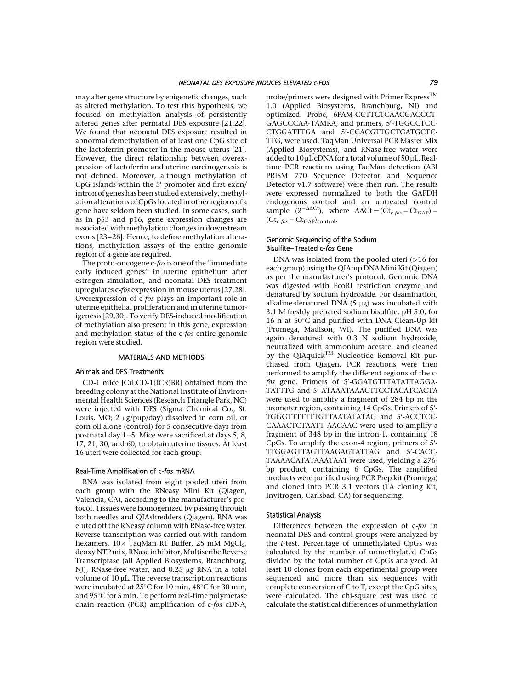may alter gene structure by epigenetic changes, such as altered methylation. To test this hypothesis, we focused on methylation analysis of persistently altered genes after perinatal DES exposure [21,22]. We found that neonatal DES exposure resulted in abnormal demethylation of at least one CpG site of the lactoferrin promoter in the mouse uterus [21]. However, the direct relationship between overexpression of lactoferrin and uterine carcinogenesis is not defined. Moreover, although methylation of CpG islands within the  $5'$  promoter and first exon/ intron of genes has been studied extensively, methylation alterations of CpGs located in other regions of a gene have seldom been studied. In some cases, such as in p53 and p16, gene expression changes are associated with methylation changes in downstream exons [23–26]. Hence, to define methylation alterations, methylation assays of the entire genomic region of a gene are required.

The proto-oncogene c-fos is one of the "immediate early induced genes'' in uterine epithelium after estrogen simulation, and neonatal DES treatment upregulates c-fos expression in mouse uterus [27,28]. Overexpression of c-fos plays an important role in uterine epithelial proliferation and in uterine tumorigenesis [29,30]. To verify DES-induced modification of methylation also present in this gene, expression and methylation status of the c-fos entire genomic region were studied.

# MATERIALS AND METHODS

### Animals and DES Treatments

CD-1 mice [Crl:CD-1(ICR)BR] obtained from the breeding colony at the National Institute of Environmental Health Sciences (Research Triangle Park, NC) were injected with DES (Sigma Chemical Co., St. Louis, MO; 2 μg/pup/day) dissolved in corn oil, or corn oil alone (control) for 5 consecutive days from postnatal day 1–5. Mice were sacrificed at days 5, 8, 17, 21, 30, and 60, to obtain uterine tissues. At least 16 uteri were collected for each group.

#### Real-Time Amplification of c-fos mRNA

RNA was isolated from eight pooled uteri from each group with the RNeasy Mini Kit (Qiagen, Valencia, CA), according to the manufacturer's protocol. Tissues were homogenized by passing through both needles and QIAshredders (Qiagen). RNA was eluted off the RNeasy column with RNase-free water. Reverse transcription was carried out with random hexamers,  $10 \times$  TaqMan RT Buffer, 25 mM MgCl<sub>2</sub>, deoxy NTP mix, RNase inhibitor, Multiscribe Reverse Transcriptase (all Applied Biosystems, Branchburg, NJ), RNase-free water, and 0.25 µg RNA in a total volume of  $10 \mu$ L. The reverse transcription reactions were incubated at  $25^{\circ}$ C for 10 min,  $48^{\circ}$ C for 30 min, and 95°C for 5 min. To perform real-time polymerase chain reaction (PCR) amplification of c-fos cDNA,

probe/primers were designed with Primer Express<sup>TM</sup> 1.0 (Applied Biosystems, Branchburg, NJ) and optimized. Probe, 6FAM-CCTTCTCAACGACCCT-GAGCCCAA-TAMRA, and primers, 5'-TGGCCTCC-CTGGATTTGA and 5'-CCACGTTGCTGATGCTC-TTG, were used. TaqMan Universal PCR Master Mix (Applied Biosystems), and RNase-free water were added to  $10 \mu$ L cDNA for a total volume of  $50 \mu$ L. Realtime PCR reactions using TaqMan detection (ABI PRISM 770 Sequence Detector and Sequence Detector v1.7 software) were then run. The results were expressed normalized to both the GAPDH endogenous control and an untreated control sample  $(2^{-\Delta \Delta Ct})$ , where  $\Delta \Delta Ct = (Ct_{c-fos} - Ct_{GAP})$  - $(Ct_{c-fos} - Ct_{GAP})_{control}.$ 

## Genomic Sequencing of the Sodium Bisulfite–Treated c-fos Gene

DNA was isolated from the pooled uteri  $(>16$  for each group) using the QIAmp DNA Mini Kit(Qiagen) as per the manufacturer's protocol. Genomic DNA was digested with EcoRI restriction enzyme and denatured by sodium hydroxide. For deamination, alkaline-denatured DNA  $(5 \mu g)$  was incubated with 3.1 M freshly prepared sodium bisulfite, pH 5.0, for 16 h at  $50^{\circ}$ C and purified with DNA Clean-Up kit (Promega, Madison, WI). The purified DNA was again denatured with 0.3 N sodium hydroxide, neutralized with ammonium acetate, and cleaned by the QIAquick<sup>TM</sup> Nucleotide Removal Kit purchased from Qiagen. PCR reactions were then performed to amplify the different regions of the cfos gene. Primers of 5'-GGATGTTTATATTAGGA-TATTTG and 5'-ATAAATAAACTTCCTACATCACTA were used to amplify a fragment of 284 bp in the promoter region, containing 14 CpGs. Primers of 5'-TGGGTTTTTTTGTTAATATATAG and 5'-ACCTCC-CAAACTCTAATT AACAAC were used to amplify a fragment of 348 bp in the intron-1, containing 18 CpGs. To amplify the exon-4 region, primers of  $5'$ -TTGGAGTTAGTTAAGAGTATTAG and 5'-CACC-TAAAACATATAAATAAT were used, yielding a 276 bp product, containing 6 CpGs. The amplified products were purified using PCR Prep kit (Promega) and cloned into PCR 3.1 vectors (TA cloning Kit, Invitrogen, Carlsbad, CA) for sequencing.

#### Statistical Analysis

Differences between the expression of c-fos in neonatal DES and control groups were analyzed by the t-test. Percentage of unmethylated CpGs was calculated by the number of unmethylated CpGs divided by the total number of CpGs analyzed. At least 10 clones from each experimental group were sequenced and more than six sequences with complete conversion of C to T, except the CpG sites, were calculated. The chi-square test was used to calculate the statistical differences of unmethylation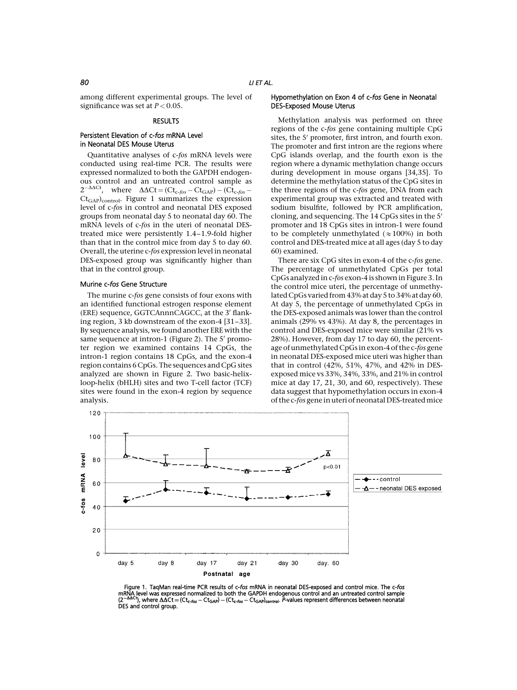among different experimental groups. The level of significance was set at  $P < 0.05$ .

# **RESULTS**

# Persistent Elevation of c-fos mRNA Level in Neonatal DES Mouse Uterus

Quantitative analyses of c-fos mRNA levels were conducted using real-time PCR. The results were expressed normalized to both the GAPDH endogenous control and an untreated control sample as  $2^{-\Delta\Delta Ct}$ , where  $\Delta\Delta Ct = (Ct_{c-fos} - Ct_{GAP}) - (Ct_{c-fos} -$ Ct<sub>GAP</sub>)<sub>control</sub>. Figure 1 summarizes the expression level of c-fos in control and neonatal DES exposed groups from neonatal day 5 to neonatal day 60. The mRNA levels of c-fos in the uteri of neonatal DEStreated mice were persistently 1.4–1.9-fold higher than that in the control mice from day 5 to day 60. Overall, the uterine c-fos expression level in neonatal DES-exposed group was significantly higher than that in the control group.

#### Murine c-fos Gene Structure

The murine c-fos gene consists of four exons with an identified functional estrogen response element (ERE) sequence, GGTCAnnnCAGCC, at the 3' flanking region, 3 kb downstream of the exon-4 [31–33]. By sequence analysis, we found another ERE with the same sequence at intron-1 (Figure 2). The 5' promoter region we examined contains 14 CpGs, the intron-1 region contains 18 CpGs, and the exon-4 region contains 6 CpGs. The sequences and CpG sites analyzed are shown in Figure 2. Two basic-helixloop-helix (bHLH) sites and two T-cell factor (TCF) sites were found in the exon-4 region by sequence analysis.

# Hypomethylation on Exon 4 of c-fos Gene in Neonatal DES-Exposed Mouse Uterus

Methylation analysis was performed on three regions of the c-fos gene containing multiple CpG sites, the 5' promoter, first intron, and fourth exon. The promoter and first intron are the regions where CpG islands overlap, and the fourth exon is the region where a dynamic methylation change occurs during development in mouse organs [34,35]. To determine the methylation status of the CpG sites in the three regions of the c-fos gene, DNA from each experimental group was extracted and treated with sodium bisulfite, followed by PCR amplification, cloning, and sequencing. The  $14$  CpGs sites in the  $5'$ promoter and 18 CpGs sites in intron-1 were found to be completely unmethylated  $(\approx 100\%)$  in both control and DES-treated mice at all ages (day 5 to day 60) examined.

There are six CpG sites in exon-4 of the c-fos gene. The percentage of unmethylated CpGs per total CpGs analyzed in c-fos exon-4 is shown in Figure 3. In the control mice uteri, the percentage of unmethylated CpGs varied from 43%at day 5 to 34%at day 60. At day 5, the percentage of unmethylated CpGs in the DES-exposed animals was lower than the control animals (29% vs 43%). At day 8, the percentages in control and DES-exposed mice were similar (21% vs 28%). However, from day 17 to day 60, the percentage of unmethylated CpGs in exon-4 of the c-fos gene in neonatal DES-exposed mice uteri was higher than that in control (42%, 51%, 47%, and 42% in DESexposed mice vs 33%, 34%, 33%, and 21% in control mice at day 17, 21, 30, and 60, respectively). These data suggest that hypomethylation occurs in exon-4 of the c-fos gene in uteri of neonatal DES-treated mice



Figure 1. TagMan real-time PCR results of c-fos mRNA in neonatal DES-exposed and control mice. The c-fos mRNA level was expressed normalized to both the GAPDH endogenous control and an untreated control sample<br>(2—40Ct), where ΔΔCt = (Ct<sub>c-fos</sub> — Ct<sub>GAP</sub>) — (Ct<sub>c-fos</sub> — Ct<sub>GAP</sub>)<sub>control</sub>. *P*-values represent differences betw DES and control group.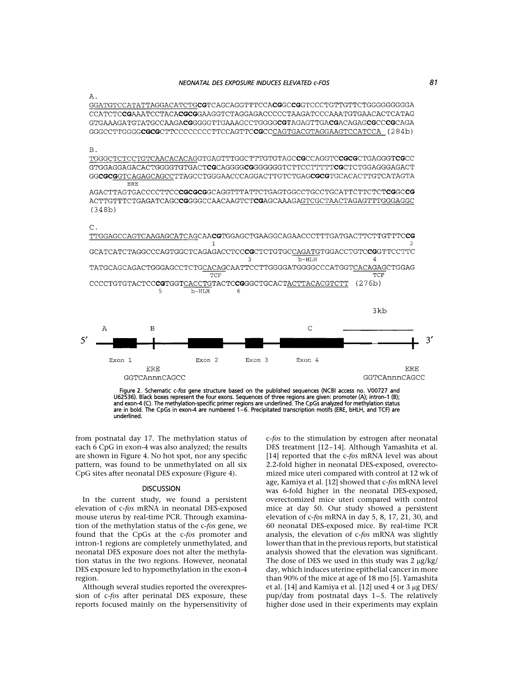#### NEONATAL DES EXPOSURE INDUCES ELEVATED c-FOS 81

Α.

CCATCTCCGAAATCCTACACGCGGAAGGTCTAGGAGACCCCCTAAGATCCCAAATGTGAACACTCATAG GTGAAAGATGTATGCCAAGACGGGGGTTGAAAGCCTGGGGCGTAGAGTTGACGACAGAGCGCCCGCAGA 

 $B.$ 

TGGGCTCTCCTGTCAACACACAGGTGAGTTTGGCTTTGTGTAGC**CG**CCAGGTC**CGC**CTGAGGGT**CG**CC GGCGCGGTCAGAGCAGCCTTAGCCTGGGAACCCAGGACTTGTCTGAGCGCGTGCACACTTGTCATAGTA ERE

ACTTGTTTCTGAGATCAGCCGGGGCCAACAAGTCTCGAGCAAAGAGTCGCTAACTAGAGTTTGGGAGGC  $(348b)$ 



TTGGAGCCAGTCAAGAGCATCAGCAACGTGGAGCTGAAGGCAGAACCCTTTGATGACTTCTTGTTTCCG  $\mathbf{1}$ GCATCATCTAGGCCCAGTGGCTCAGAGACCTCCCCCTCTGTGCCAGATGTGGACCTGTCCGGTTCCTTC 3  $b$ -HLH  $\overline{4}$ TATGCAGCAGACTGGGAGCCTCTGCACAGCAATTCCTTGGGGATGGGGCCCATGGTCACAGAGCTGGAG TCF TCF CCCCTGTGTACTCCCCTGGTCACCTGTACTCCGGGCTGCACTACTTACACGTCTT  $(276b)$ 5  $b$ -HLH  $\epsilon$  $3kb$  $\mathsf{C}$ A  $\mathbf B$  $5'$  $3'$ 



U62536). Black boxes represent the four exons. Sequences of three regions are given: promoter (A); intron-1 (B);<br>and exon-4 (C). The methylation-specific primer regions are underlined. The CpGs analyzed for methylation sta are in bold. The CpGs in exon-4 are numbered 1–6. Precipitated transcription motifs (ERE, bHLH, and TCF) are underlined.

from postnatal day 17. The methylation status of each 6 CpG in exon-4 was also analyzed; the results are shown in Figure 4. No hot spot, nor any specific pattern, was found to be unmethylated on all six CpG sites after neonatal DES exposure (Figure 4).

#### **DISCUSSION**

In the current study, we found a persistent elevation of c-fos mRNA in neonatal DES-exposed mouse uterus by real-time PCR. Through examination of the methylation status of the c-fos gene, we found that the CpGs at the c-fos promoter and intron-1 regions are completely unmethylated, and neonatal DES exposure does not alter the methylation status in the two regions. However, neonatal DES exposure led to hypomethylation in the exon-4 region.

Although several studies reported the overexpression of c-fos after perinatal DES exposure, these reports focused mainly on the hypersensitivity of c-fos to the stimulation by estrogen after neonatal DES treatment [12–14]. Although Yamashita et al. [14] reported that the c-fos mRNA level was about 2.2-fold higher in neonatal DES-exposed, overectomized mice uteri compared with control at 12 wk of age, Kamiya et al. [12] showed that c-fos mRNA level was 6-fold higher in the neonatal DES-exposed, overectomized mice uteri compared with control mice at day 50. Our study showed a persistent elevation of c-fos mRNA in day 5, 8, 17, 21, 30, and 60 neonatal DES-exposed mice. By real-time PCR analysis, the elevation of c-fos mRNA was slightly lower than that in the previous reports, but statistical analysis showed that the elevation was significant. The dose of DES we used in this study was  $2 \mu g/kg$ day, which induces uterine epithelial cancer in more than 90% of the mice at age of 18 mo [5]. Yamashita et al. [14] and Kamiya et al. [12] used 4 or 3 µg DES/ pup/day from postnatal days 1–5. The relatively higher dose used in their experiments may explain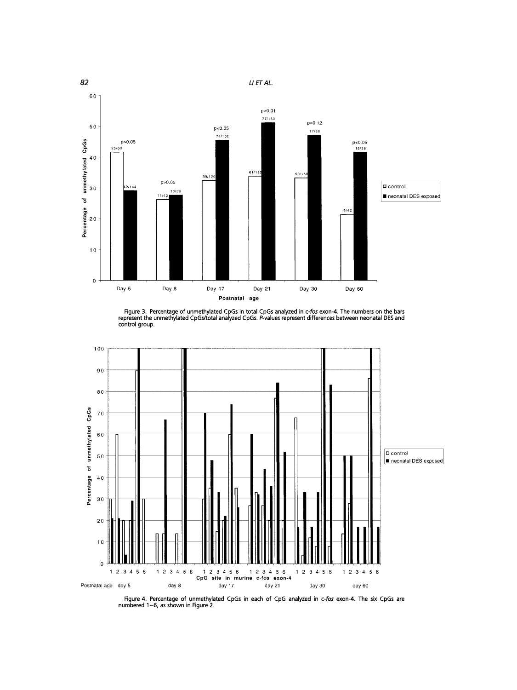

Figure 3. Percentage of unmethylated CpGs in total CpGs analyzed in c-*fos* exon-4. The numbers on the bars<br>represent the unmethylated CpGs/total analyzed CpGs. *P*-values represent differences between neonatal DES and<br>con



Figure 4. Percentage of unmethylated CpGs in each of CpG analyzed in c-fos exon-4. The six CpGs are numbered 1–6, as shown in Figure 2.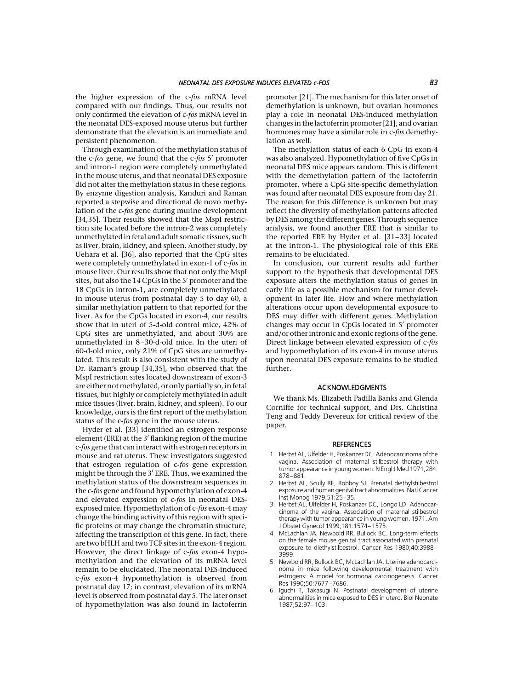the higher expression of the c-fos mRNA level compared with our findings. Thus, our results not only confirmed the elevation of c-fos mRNA level in the neonatal DES-exposed mouse uterus but further demonstrate that the elevation is an immediate and persistent phenomenon.

Through examination of the methylation status of the c-fos gene, we found that the  $c$ -fos  $5'$  promoter and intron-1 region were completely unmethylated in the mouse uterus, and that neonatal DES exposure did not alter the methylation status in these regions. By enzyme digestion analysis, Kanduri and Raman reported a stepwise and directional de novo methylation of the c-fos gene during murine development [34,35]. Their results showed that the MspI restriction site located before the intron-2 was completely unmethylated infetal and adult somatic tissues, such as liver, brain, kidney, and spleen. Another study, by Uehara et al. [36], also reported that the CpG sites were completely unmethylated in exon-1 of c-fos in mouse liver. Our results show that not only the MspI sites, but also the 14 CpGs in the 5' promoter and the 18 CpGs in intron-1, are completely unmethylated in mouse uterus from postnatal day 5 to day 60, a similar methylation pattern to that reported for the liver. As for the CpGs located in exon-4, our results show that in uteri of 5-d-old control mice, 42% of CpG sites are unmethylated, and about 30% are unmethylated in 8–30-d-old mice. In the uteri of 60-d-old mice, only 21% of CpG sites are unmethylated. This result is also consistent with the study of Dr. Raman's group [34,35], who observed that the MspI restriction sites located downstream of exon-3 are either not methylated, or only partially so, in fetal tissues, but highly or completely methylated in adult mice tissues (liver, brain, kidney, and spleen). To our knowledge, ours is the first report of the methylation status of the c-fos gene in the mouse uterus.

Hyder et al. [33] identified an estrogen response element (ERE) at the 3' flanking region of the murine c-fos gene that can interact with estrogen receptors in mouse and rat uterus. These investigators suggested that estrogen regulation of c-fos gene expression might be through the 3' ERE. Thus, we examined the methylation status of the downstream sequences in the c-fos gene and found hypomethylation of exon-4 and elevated expression of c-fos in neonatal DESexposed mice. Hypomethylation of c-fos exon-4 may change the binding activity of this region with specific proteins or may change the chromatin structure, affecting the transcription of this gene. In fact, there are two bHLH and two TCF sites in the exon-4 region. However, the direct linkage of c-fos exon-4 hypomethylation and the elevation of its mRNA level remain to be elucidated. The neonatal DES-induced c-fos exon-4 hypomethylation is observed from postnatal day 17; in contrast, elevation of its mRNA level is observed from postnatal day 5. The later onset of hypomethylation was also found in lactoferrin

promoter [21]. The mechanism for this later onset of demethylation is unknown, but ovarian hormones play a role in neonatal DES-induced methylation changes in the lactoferrin promoter [21], and ovarian hormones may have a similar role in c-fos demethylation as well.

The methylation status of each 6 CpG in exon-4 was also analyzed. Hypomethylation of five CpGs in neonatal DES mice appears random. This is different with the demethylation pattern of the lactoferrin promoter, where a CpG site-specific demethylation was found after neonatal DES exposure from day 21. The reason for this difference is unknown but may reflect the diversity of methylation patterns affected by DES among the different genes. Through sequence analysis, we found another ERE that is similar to the reported ERE by Hyder et al. [31–33] located at the intron-1. The physiological role of this ERE remains to be elucidated.

In conclusion, our current results add further support to the hypothesis that developmental DES exposure alters the methylation status of genes in early life as a possible mechanism for tumor development in later life. How and where methylation alterations occur upon developmental exposure to DES may differ with different genes. Methylation changes may occur in CpGs located in 5' promoter and/or other intronic and exonic regions of the gene. Direct linkage between elevated expression of c-fos and hypomethylation of its exon-4 in mouse uterus upon neonatal DES exposure remains to be studied further.

#### ACKNOWLEDGMENTS

We thank Ms. Elizabeth Padilla Banks and Glenda Corniffe for technical support, and Drs. Christina Teng and Teddy Devereux for critical review of the paper.

#### **REFERENCES**

- 1. Herbst AL, Ulfelder H, Poskanzer DC. Adenocarcinoma of the vagina. Association of maternal stilbestrol therapy with tumor appearance in youngwomen.NEnglJ Med 1971;284: 878–881.
- 2. Herbst AL, Scully RE, Robboy SJ. Prenatal diethylstilbestrol exposure and human genital tract abnormalities. Natl Cancer Inst Monog 1979;51:25–35.
- 3. Herbst AL, Ulfelder H, Poskanzer DC, Longo LD. Adenocarcinoma of the vagina. Association of maternal stilbestrol therapy with tumor appearance in young women. 1971. Am J Obstet Gynecol 1999;181:1574–1575.
- 4. McLachlan JA, Newbold RR, Bullock BC. Long-term effects on the female mouse genital tract associated with prenatal exposure to diethylstilbestrol. Cancer Res 1980;40:3988– 3999.
- 5. Newbold RR, Bullock BC, McLachlan JA. Uterine adenocarcinoma in mice following developmental treatment with estrogens: A model for hormonal carcinogenesis. Cancer Res 1990;50:7677–7686.
- 6. Iguchi T, Takasugi N. Postnatal development of uterine abnormalities in mice exposed to DES in utero. Biol Neonate 1987;52:97–103.